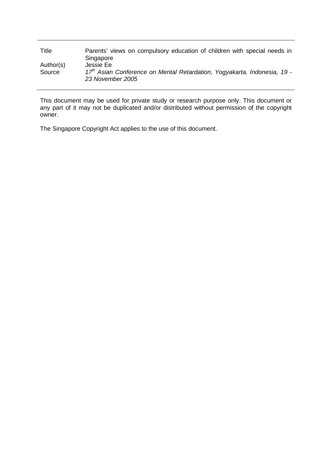| Title               | Parents' views on compulsory education of children with special needs in<br>Singapore                                 |
|---------------------|-----------------------------------------------------------------------------------------------------------------------|
| Author(s)<br>Source | Jessie Ee<br>17 <sup>th</sup> Asian Conference on Mental Retardation, Yogyakarta, Indonesia, 19 -<br>23 November 2005 |

This document may be used for private study or research purpose only. This document or any part of it may not be duplicated and/or distributed without permission of the copyright owner.

The Singapore Copyright Act applies to the use of this document.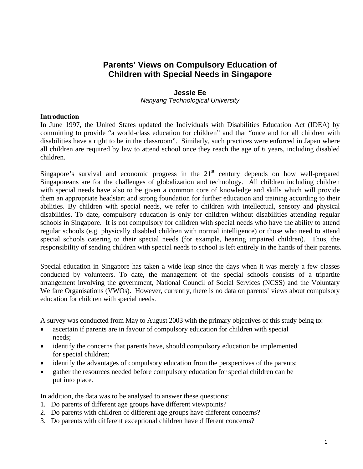# **Parents' Views on Compulsory Education of Children with Special Needs in Singapore**

### **Jessie Ee**

*Nanyang Technological University* 

### **Introduction**

In June 1997, the United States updated the Individuals with Disabilities Education Act (IDEA) by committing to provide "a world-class education for children" and that "once and for all children with disabilities have a right to be in the classroom". Similarly, such practices were enforced in Japan where all children are required by law to attend school once they reach the age of 6 years, including disabled children.

Singapore's survival and economic progress in the  $21<sup>st</sup>$  century depends on how well-prepared Singaporeans are for the challenges of globalization and technology. All children including children with special needs have also to be given a common core of knowledge and skills which will provide them an appropriate headstart and strong foundation for further education and training according to their abilities. By children with special needs, we refer to children with intellectual, sensory and physical disabilities. To date, compulsory education is only for children without disabilities attending regular schools in Singapore. It is not compulsory for children with special needs who have the ability to attend regular schools (e.g. physically disabled children with normal intelligence) or those who need to attend special schools catering to their special needs (for example, hearing impaired children). Thus, the responsibility of sending children with special needs to school is left entirely in the hands of their parents.

Special education in Singapore has taken a wide leap since the days when it was merely a few classes conducted by volunteers. To date, the management of the special schools consists of a tripartite arrangement involving the government, National Council of Social Services (NCSS) and the Voluntary Welfare Organisations (VWOs). However, currently, there is no data on parents' views about compulsory education for children with special needs.

A survey was conducted from May to August 2003 with the primary objectives of this study being to:

- ascertain if parents are in favour of compulsory education for children with special needs;
- identify the concerns that parents have, should compulsory education be implemented for special children;
- identify the advantages of compulsory education from the perspectives of the parents;
- gather the resources needed before compulsory education for special children can be put into place.

In addition, the data was to be analysed to answer these questions:

- 1. Do parents of different age groups have different viewpoints?
- 2. Do parents with children of different age groups have different concerns?
- 3. Do parents with different exceptional children have different concerns?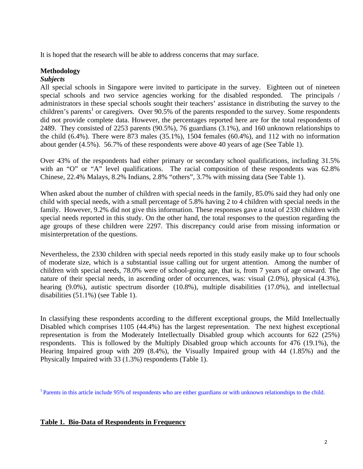It is hoped that the research will be able to address concerns that may surface.

# **Methodology**

# *Subjects*

All special schools in Singapore were invited to participate in the survey. Eighteen out of nineteen special schools and two service agencies working for the disabled responded. The principals / administrators in these special schools sought their teachers' assistance in distributing the survey to the children's parents<sup>1</sup> or caregivers. Over 90.5% of the parents responded to the survey. Some respondents did not provide complete data. However, the percentages reported here are for the total respondents of 2489. They consisted of 2253 parents (90.5%), 76 guardians (3.1%), and 160 unknown relationships to the child (6.4%). There were 873 males (35.1%), 1504 females (60.4%), and 112 with no information about gender (4.5%). 56.7% of these respondents were above 40 years of age (See Table 1).

Over 43% of the respondents had either primary or secondary school qualifications, including 31.5% with an "O" or "A" level qualifications. The racial composition of these respondents was 62.8% Chinese, 22.4% Malays, 8.2% Indians, 2.8% "others", 3.7% with missing data (See Table 1).

When asked about the number of children with special needs in the family, 85.0% said they had only one child with special needs, with a small percentage of 5.8% having 2 to 4 children with special needs in the family. However, 9.2% did not give this information. These responses gave a total of 2330 children with special needs reported in this study. On the other hand, the total responses to the question regarding the age groups of these children were 2297. This discrepancy could arise from missing information or misinterpretation of the questions.

Nevertheless, the 2330 children with special needs reported in this study easily make up to four schools of moderate size, which is a substantial issue calling out for urgent attention. Among the number of children with special needs, 78.0% were of school-going age, that is, from 7 years of age onward. The nature of their special needs, in ascending order of occurrences, was: visual (2.0%), physical (4.3%), hearing (9.0%), autistic spectrum disorder (10.8%), multiple disabilities (17.0%), and intellectual disabilities (51.1%) (see Table 1).

In classifying these respondents according to the different exceptional groups, the Mild Intellectually Disabled which comprises 1105 (44.4%) has the largest representation. The next highest exceptional representation is from the Moderately Intellectually Disabled group which accounts for 622 (25%) respondents. This is followed by the Multiply Disabled group which accounts for 476 (19.1%), the Hearing Impaired group with 209 (8.4%), the Visually Impaired group with 44 (1.85%) and the Physically Impaired with 33 (1.3%) respondents (Table 1).

<sup>1</sup> Parents in this article include 95% of respondents who are either guardians or with unknown relationships to the child.

### **Table 1. Bio-Data of Respondents in Frequency**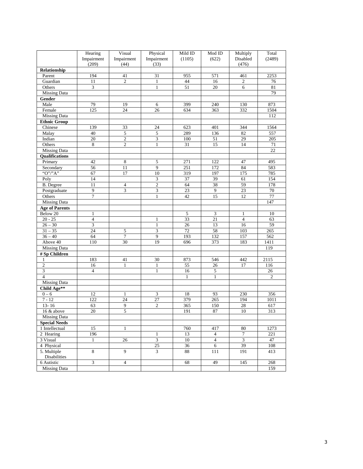|                             | Hearing             | Visual             | Physical                    | Mild ID      | Mod ID          | Multiply          | Total  |
|-----------------------------|---------------------|--------------------|-----------------------------|--------------|-----------------|-------------------|--------|
|                             | Impairment<br>(209) | Impairment<br>(44) | Impairment<br>(33)          | (1105)       | (622)           | Disabled<br>(476) | (2489) |
| Relationship                |                     |                    |                             |              |                 |                   |        |
| Parent                      | 194                 | 41                 | 31                          | 955          | 571             | 461               | 2253   |
| Guardian                    | 11                  | $\overline{c}$     | $\mathbf{1}$                | 44           | 16              | $\mathfrak{2}$    | 76     |
| Others                      | $\overline{3}$      |                    | $\mathbf{1}$                | 51           | 20              | 6                 | 81     |
| <b>Missing Data</b>         |                     |                    |                             |              |                 |                   | 79     |
| Gender                      |                     |                    |                             |              |                 |                   |        |
| Male                        | 79                  | 19                 | 6                           | 399          | 240             | 130               | 873    |
| Female                      | 125                 | 24                 | 26                          | 634          | 363             | 332               | 1504   |
| <b>Missing Data</b>         |                     |                    |                             |              |                 |                   | 112    |
| <b>Ethnic Group</b>         |                     |                    |                             |              |                 |                   |        |
| Chinese                     | 139                 | 33                 | 24                          | 623          | 401             | 344               | 1564   |
| Malay                       | 40                  | 5                  | 5                           | 289          | 136             | 82                | 557    |
| Indian                      | 20                  | 2                  | 3                           | 100          | 51              | 29                | 205    |
| Others                      | 8                   | $\mathbf{2}$       | $\mathbf{1}$                | 31           | $\overline{15}$ | 14                | 71     |
| <b>Missing Data</b>         |                     |                    |                             |              |                 |                   | 22     |
| Qualifications              |                     |                    |                             |              |                 |                   |        |
| Primary                     | 42                  | $\,$ 8 $\,$        | 5                           | 271          | 122             | 47                | 495    |
| Secondary                   | 56                  | 11                 | 9                           | 251          | 172             | 84                | 583    |
| " $O$ "/" $A$ "             | 67                  | 17                 | $\overline{10}$             | 319          | 197             | 175               | 785    |
| Poly                        | 14                  |                    | $\overline{\mathbf{3}}$     | 37           | 39              | 61                | 154    |
| <b>B.</b> Degree            | 11                  | $\overline{4}$     | $\sqrt{2}$                  | 64           | 38              | 59                | 178    |
| Postgraduate                | 9                   | 3                  | $\ensuremath{\mathfrak{Z}}$ | 23           | 9               | 23                | 70     |
| Others                      | 7                   |                    | $\mathbf{1}$                | 42           | 15              | 12                | 77     |
| <b>Missing Data</b>         |                     |                    |                             |              |                 |                   | 147    |
| <b>Age of Parents</b>       |                     |                    |                             |              |                 |                   |        |
| Below 20                    | $\mathbf{1}$        |                    |                             | 5            | 3               | 1                 | 10     |
| $20 - 25$                   | $\overline{4}$      |                    | $\mathbf{1}$                | 33           | $\overline{21}$ | $\overline{4}$    | 63     |
| $26 - 30$                   | 3                   |                    | $\mathbf{1}$                | 26           | 13              | 16                | 59     |
| $31 - 35$                   | 24                  | 5                  | 3                           | 72           | 58              | 103               | 265    |
| $36 - 40$                   | 64                  | $\overline{7}$     | $\overline{9}$              | 193          | 132             | 157               | 562    |
| Above 40                    | 110                 | 30                 | 19                          | 696          | 373             | 183               | 1411   |
| <b>Missing Data</b>         |                     |                    |                             |              |                 |                   | 119    |
| # Sp Children               |                     |                    |                             |              |                 |                   |        |
| 1                           | 183                 | 41                 | 30                          | 873          | 546             | 442               | 2115   |
| $\overline{2}$              | 16                  | $\mathbf{1}$       | $\mathbf{1}$                | 55           | 26              | 17                | 116    |
| $\ensuremath{\mathfrak{Z}}$ | 4                   |                    | $\mathbf{1}$                | 16           | $\sqrt{5}$      |                   | 26     |
| $\overline{4}$              |                     |                    |                             | $\mathbf{1}$ | $\mathbf{1}$    |                   | 2      |
| Missing Data                |                     |                    |                             |              |                 |                   |        |
| Child Age**                 |                     |                    |                             |              |                 |                   |        |
| $0 - 6$                     | 12                  | $\mathbf{1}$       | 3                           | 18           | 93              | 230               | 356    |
| $7 - 12$                    | 122                 | 24                 | 27                          | 379          | 265             | 194               | 1011   |
| $13 - 16$                   | 63                  | 9                  | $\boldsymbol{2}$            | 365          | 150             | 28                | 617    |
| 16 & above                  | 20                  | 5                  |                             | 191          | 87              | $10\,$            | 313    |
| <b>Missing Data</b>         |                     |                    |                             |              |                 |                   |        |
| <b>Special Needs</b>        |                     |                    |                             |              |                 |                   |        |
| 1 Intellectual              | 15                  | $\mathbf{1}$       |                             | 760          | 417             | $80\,$            | 1273   |
| 2 Hearing                   | 196                 |                    | $\mathbf{1}$                | 13           | $\overline{4}$  | $\overline{7}$    | 221    |
| 3 Visual                    | $\mathbf{1}$        | $26\,$             | $\overline{\mathbf{3}}$     | $10\,$       | $\overline{4}$  | $\overline{3}$    | 47     |
| 4 Physical                  |                     |                    | 25                          | 36           | 6               | 39                | 108    |
|                             | $\overline{8}$      | 9                  | 3                           | 88           |                 |                   |        |
| 5. Multiple<br>Disabilities |                     |                    |                             |              | 111             | 191               | 413    |
| 6 Autistic                  | 3                   | $\overline{4}$     |                             | 68           | 49              | 145               | 268    |
| <b>Missing Data</b>         |                     |                    |                             |              |                 |                   | 159    |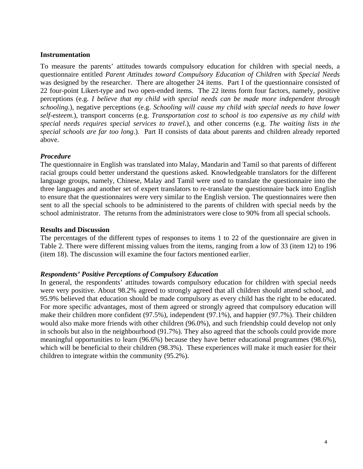### **Instrumentation**

To measure the parents' attitudes towards compulsory education for children with special needs, a questionnaire entitled *Parent Attitudes toward Compulsory Education of Children with Special Needs*  was designed by the researcher. There are altogether 24 items. Part I of the questionnaire consisted of 22 four-point Likert-type and two open-ended items. The 22 items form four factors, namely, positive perceptions (e.g. *I believe that my child with special needs can be made more independent through schooling*.), negative perceptions (e.g. *Schooling will cause my child with special needs to have lower self-esteem*.), transport concerns (e.g. *Transportation cost to school is too expensive as my child with special needs requires special services to travel*.), and other concerns (e.g. *The waiting lists in the special schools are far too long*.). Part II consists of data about parents and children already reported above.

### *Procedure*

The questionnaire in English was translated into Malay, Mandarin and Tamil so that parents of different racial groups could better understand the questions asked. Knowledgeable translators for the different language groups, namely, Chinese, Malay and Tamil were used to translate the questionnaire into the three languages and another set of expert translators to re-translate the questionnaire back into English to ensure that the questionnaires were very similar to the English version. The questionnaires were then sent to all the special schools to be administered to the parents of children with special needs by the school administrator. The returns from the administrators were close to 90% from all special schools.

### **Results and Discussion**

The percentages of the different types of responses to items 1 to 22 of the questionnaire are given in Table 2. There were different missing values from the items, ranging from a low of 33 (item 12) to 196 (item 18). The discussion will examine the four factors mentioned earlier.

### *Respondents' Positive Perceptions of Compulsory Education*

In general, the respondents' attitudes towards compulsory education for children with special needs were very positive. About 98.2% agreed to strongly agreed that all children should attend school, and 95.9% believed that education should be made compulsory as every child has the right to be educated. For more specific advantages, most of them agreed or strongly agreed that compulsory education will make their children more confident (97.5%), independent (97.1%), and happier (97.7%). Their children would also make more friends with other children (96.0%), and such friendship could develop not only in schools but also in the neighbourhood (91.7%). They also agreed that the schools could provide more meaningful opportunities to learn (96.6%) because they have better educational programmes (98.6%), which will be beneficial to their children (98.3%). These experiences will make it much easier for their children to integrate within the community (95.2%).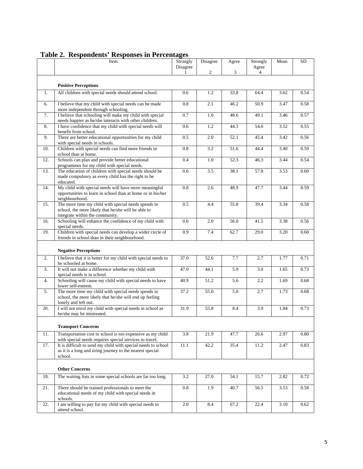|     | Item                                                                                                                                          | Strongly<br>Disagree<br>1 | Disagree<br>$\overline{2}$ | Agree<br>3 | Strongly<br>Agree<br>$\overline{4}$ | Mean | <b>SD</b> |
|-----|-----------------------------------------------------------------------------------------------------------------------------------------------|---------------------------|----------------------------|------------|-------------------------------------|------|-----------|
|     | <b>Positive Perceptions</b>                                                                                                                   |                           |                            |            |                                     |      |           |
| 1.  | All children with special needs should attend school.                                                                                         | 0.6                       | 1.2                        | 33.8       | 64.4                                | 3.62 | 0.54      |
| 6.  | I believe that my child with special needs can be made<br>more independent through schooling.                                                 | 0.8                       | 2.1                        | 46.2       | 50.9                                | 3.47 | 0.58      |
| 7.  | I believe that schooling will make my child with special<br>needs happier as he/she interacts with other children.                            | 0.7                       | 1.6                        | 48.6       | 49.1                                | 3.46 | 0.57      |
| 8.  | I have confidence that my child with special needs will<br>benefit from school.                                                               | 0.6                       | 1.2                        | 44.3       | 54.0                                | 3.52 | 0.55      |
| 9.  | There are better educational opportunities for my child<br>with special needs in schools.                                                     | 0.5                       | 2.0                        | 52.1       | 45.4                                | 3.42 | 0.56      |
| 10. | Children with special needs can find more friends in<br>school than at home.                                                                  | 0.8                       | 3.2                        | 51.6       | 44.4                                | 3.40 | 0.59      |
| 12. | Schools can plan and provide better educational<br>programmes for my child with special needs.                                                | 0.4                       | 1.0                        | 52.3       | 46.3                                | 3.44 | 0.54      |
| 13. | The education of children with special needs should be<br>made compulsory as every child has the right to be<br>educated.                     | 0.6                       | 3.5                        | 38.1       | 57.8                                | 3.53 | 0.60      |
| 14. | My child with special needs will have more meaningful<br>opportunities to learn in school than at home or in his/her<br>neighbourhood.        | 0.8                       | 2.6                        | 48.9       | 47.7                                | 3.44 | 0.59      |
| 15. | The more time my child with special needs spends in<br>school, the more likely that he/she will be able to<br>integrate within the community. | 0.5                       | 4.4                        | 55.8       | 39.4                                | 3.34 | 0.58      |
| 16. | Schooling will enhance the confidence of my child with<br>special needs.                                                                      | 0.6                       | 2.0                        | 56.0       | 41.5                                | 3.38 | 0.56      |
| 19. | Children with special needs can develop a wider circle of<br>friends in school than in their neighbourhood.                                   | 0.9                       | 7.4                        | 62.7       | 29.0                                | 3.20 | 0.60      |
|     | <b>Negative Perceptions</b>                                                                                                                   |                           |                            |            |                                     |      |           |
| 2.  | I believe that it is better for my child with special needs to<br>be schooled at home.                                                        | 37.0                      | 52.6                       | 7.7        | 2.7                                 | 1.77 | 0.71      |
| 3.  | It will not make a difference whether my child with<br>special needs is in school.                                                            | 47.0                      | 44.1                       | 5.9        | 3.0                                 | 1.65 | 0.73      |
| 4.  | Schooling will cause my child with special needs to have<br>lower self-esteem.                                                                | 40.9                      | 51.2                       | 5.6        | 2.2                                 | 1.69 | 0.68      |
| 5.  | The more time my child with special needs spends in<br>school, the more likely that he/she will end up feeling<br>lonely and left out.        | 37.2                      | 55.0                       | 5.0        | 2.7                                 | 1.73 | 0.68      |
| 20. | I will not enrol my child with special needs in school as<br>he/she may be mistreated.                                                        | 31.9                      | 55.8                       | 8.4        | 3.9                                 | 1.84 | 0.73      |
|     | <b>Transport Concerns</b>                                                                                                                     |                           |                            |            |                                     |      |           |
| 11. | Transportation cost to school is too expensive as my child<br>with special needs requires special services to travel.                         | 3.8                       | 21.9                       | 47.7       | 26.6                                | 2.97 | 0.80      |
| 17. | It is difficult to send my child with special needs to school<br>as it is a long and tiring journey to the nearest special<br>school.         | 11.1                      | 42.2                       | 35.4       | 11.2                                | 2.47 | 0.83      |
|     | <b>Other Concerns</b>                                                                                                                         |                           |                            |            |                                     |      |           |
| 18. | The waiting lists in some special schools are far too long.                                                                                   | 3.2                       | 27.0                       | 54.1       | 15.7                                | 2.82 | 0.72      |
| 21. | There should be trained professionals to meet the<br>educational needs of my child with special needs in<br>schools.                          | 0.8                       | 1.9                        | 40.7       | 56.5                                | 3.53 | 0.58      |
| 22. | I am willing to pay for my child with special needs to<br>attend school.                                                                      | 2.0                       | 8.4                        | 67.2       | 22.4                                | 3.10 | 0.62      |

# **Table 2. Respondents' Responses in Percentages**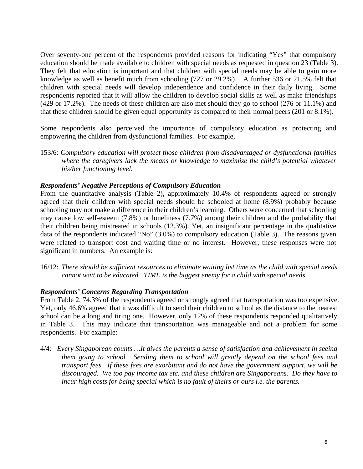Over seventy-one percent of the respondents provided reasons for indicating "Yes" that compulsory education should be made available to children with special needs as requested in question 23 (Table 3). They felt that education is important and that children with special needs may be able to gain more knowledge as well as benefit much from schooling (727 or 29.2%). A further 536 or 21.5% felt that children with special needs will develop independence and confidence in their daily living. Some respondents reported that it will allow the children to develop social skills as well as make friendships (429 or 17.2%). The needs of these children are also met should they go to school (276 or 11.1%) and that these children should be given equal opportunity as compared to their normal peers (201 or 8.1%).

Some respondents also perceived the importance of compulsory education as protecting and empowering the children from dysfunctional families. For example,

153/6: *Compulsory education will protect those children from disadvantaged or dysfunctional families where the caregivers lack the means or knowledge to maximize the child's potential whatever his/her functioning level.* 

### *Respondents' Negative Perceptions of Compulsory Education*

From the quantitative analysis (Table 2), approximately 10.4% of respondents agreed or strongly agreed that their children with special needs should be schooled at home (8.9%) probably because schooling may not make a difference in their children's learning. Others were concerned that schooling may cause low self-esteem (7.8%) or loneliness (7.7%) among their children and the probability that their children being mistreated in schools (12.3%). Yet, an insignificant percentage in the qualitative data of the respondents indicated "No" (3.0%) to compulsory education (Table 3). The reasons given were related to transport cost and waiting time or no interest. However, these responses were not significant in numbers. An example is:

16/12: *There should be sufficient resources to eliminate waiting list time as the child with special needs cannot wait to be educated. TIME is the biggest enemy for a child with special needs.* 

### *Respondents' Concerns Regarding Transportation*

From Table 2, 74.3% of the respondents agreed or strongly agreed that transportation was too expensive. Yet, only 46.6% agreed that it was difficult to send their children to school as the distance to the nearest school can be a long and tiring one. However, only 12% of these respondents responded qualitatively in Table 3. This may indicate that transportation was manageable and not a problem for some respondents. For example:

4/4: *Every Singaporean counts …It gives the parents a sense of satisfaction and achievement in seeing them going to school. Sending them to school will greatly depend on the school fees and transport fees. If these fees are exorbitant and do not have the government support, we will be discouraged. We too pay income tax etc. and these children are Singaporeans. Do they have to incur high costs for being special which is no fault of theirs or ours i.e. the parents.*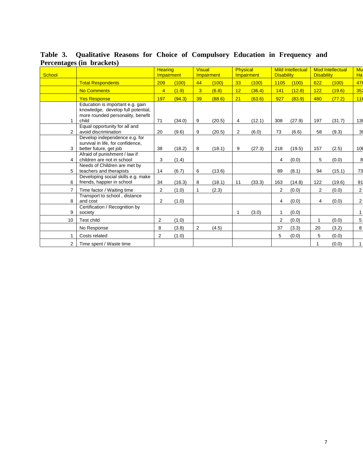| <b>School</b>  |                                                                                                                      | <b>Hearing</b><br>Impairment |        | <b>Visual</b>  | Impairment | Physical       | Impairment | <b>Disability</b> | <b>Mild Intellectual</b> | <b>Disability</b> | <b>Mod Intellectual</b> | Mu<br>Ha        |
|----------------|----------------------------------------------------------------------------------------------------------------------|------------------------------|--------|----------------|------------|----------------|------------|-------------------|--------------------------|-------------------|-------------------------|-----------------|
|                | <b>Total Respondents</b>                                                                                             | 209                          | (100)  | 44             | (100)      | 33             | (100)      | 1105              | (100)                    | 622               | (100)                   | 476             |
|                | <b>No Comments</b>                                                                                                   | $\overline{4}$               | (1.9)  | 3              | (6.8)      | 12             | (36.4)     | 141               | (12.8)                   | 122               | (19.6)                  | 35 <sub>2</sub> |
|                | <b>Yes Response</b>                                                                                                  | 197                          | (94.3) | 39             | (88.6)     | 21             | (63.6)     | 927               | (83.9)                   | 480               | (77.2)                  | 116             |
| 1              | Education is important e.g. gain<br>knowledge, develop full potential,<br>more rounded personality, benefit<br>child | 71                           | (34.0) | 9              | (20.5)     | $\overline{4}$ | (12.1)     | 308               | (27.9)                   | 197               | (31.7)                  | 138             |
| 2              | Equal opportunity for all and<br>avoid discrimination                                                                | 20                           | (9.6)  | 9              | (20.5)     | $\overline{2}$ | (6.0)      | 73                | (6.6)                    | 58                | (9.3)                   | 39              |
| 3              | Develop independence e.g. for<br>survival in life, for confidence,<br>better future, get job                         | 38                           | (18.2) | 8              | (18.1)     | 9              | (27.3)     | 218               | (19.5)                   | 157               | (2.5)                   | 106             |
| 4              | Afraid of punishment / law if<br>children are not in school                                                          | 3                            | (1.4)  |                |            |                |            | 4                 | (0.0)                    | 5                 | (0.0)                   | 8               |
| 5              | Needs of Children are met by<br>teachers and therapists                                                              | 14                           | (6.7)  | 6              | (13.6)     |                |            | 89                | (8.1)                    | 94                | (15.1)                  | 73              |
| 6              | Developing social skills e.g. make<br>friends, happier in school                                                     | 34                           | (16.3) | 8              | (18.1)     | 11             | (33.3)     | 163               | (14.8)                   | 122               | (19.6)                  | 91              |
| 7              | Time factor / Waiting time                                                                                           | $\overline{2}$               | (1.0)  | $\mathbf{1}$   | (2.3)      |                |            | 2                 | (0.0)                    | $\overline{2}$    | (0.0)                   | $\mathbf{2}$    |
| 8              | Transport to school, distance<br>and cost                                                                            | $\overline{2}$               | (1.0)  |                |            |                |            | 4                 | (0.0)                    | 4                 | (0.0)                   | 2               |
| 9              | Certification / Recognition by<br>society                                                                            |                              |        |                |            |                | (3.0)      | 1                 | (0.0)                    |                   |                         | 1               |
| 10             | Test child                                                                                                           | $\overline{2}$               | (1.0)  |                |            |                |            | $\overline{2}$    | (0.0)                    | 1                 | (0.0)                   | $5\vert$        |
|                | No Response                                                                                                          | 8                            | (3.8)  | $\overline{2}$ | (4.5)      |                |            | 37                | (3.3)                    | 20                | (3.2)                   | 8 <sup>1</sup>  |
|                | Costs related                                                                                                        | $\overline{2}$               | (1.0)  |                |            |                |            | 5                 | (0.0)                    | 5                 | (0.0)                   |                 |
| $\overline{2}$ | Time spent / Waste time                                                                                              |                              |        |                |            |                |            |                   |                          |                   | (0.0)                   | 1               |

**Table 3. Qualitative Reasons for Choice of Compulsory Education in Frequency and Percentages (in brackets)**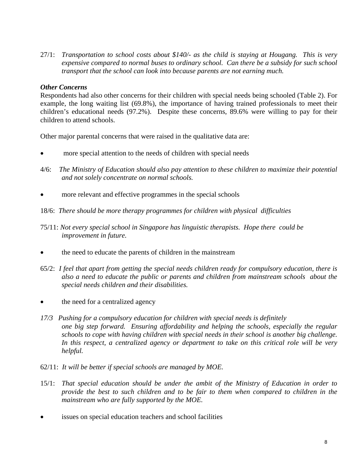27/1: *Transportation to school costs about \$140/- as the child is staying at Hougang. This is very expensive compared to normal buses to ordinary school. Can there be a subsidy for such school transport that the school can look into because parents are not earning much.* 

# *Other Concerns*

Respondents had also other concerns for their children with special needs being schooled (Table 2). For example, the long waiting list (69.8%), the importance of having trained professionals to meet their children's educational needs (97.2%). Despite these concerns, 89.6% were willing to pay for their children to attend schools.

Other major parental concerns that were raised in the qualitative data are:

- more special attention to the needs of children with special needs
- 4/6: *The Ministry of Education should also pay attention to these children to maximize their potential and not solely concentrate on normal schools.*
- more relevant and effective programmes in the special schools
- 18/6: *There should be more therapy programmes for children with physical difficulties*
- 75/11: *Not every special school in Singapore has linguistic therapists. Hope there could be improvement in future.*
- the need to educate the parents of children in the mainstream
- 65/2: *I feel that apart from getting the special needs children ready for compulsory education, there is also a need to educate the public or parents and children from mainstream schools about the special needs children and their disabilities.*
- the need for a centralized agency
- *17/3 Pushing for a compulsory education for children with special needs is definitely one big step forward. Ensuring affordability and helping the schools, especially the regular schools to cope with having children with special needs in their school is another big challenge. In this respect, a centralized agency or department to take on this critical role will be very helpful.*
- 62/11: *It will be better if special schools are managed by MOE.*
- 15/1: *That special education should be under the ambit of the Ministry of Education in order to provide the best to such children and to be fair to them when compared to children in the mainstream who are fully supported by the MOE.*
- issues on special education teachers and school facilities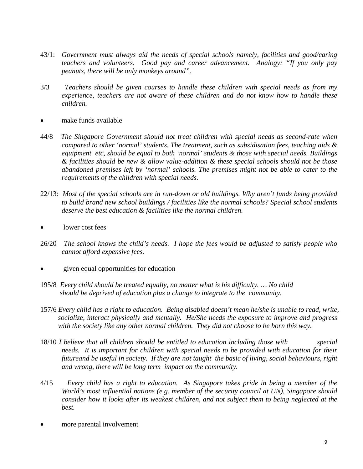- 43/1: *Government must always aid the needs of special schools namely, facilities and good/caring teachers and volunteers. Good pay and career advancement. Analogy: "If you only pay peanuts, there will be only monkeys around".*
- 3/3 *Teachers should be given courses to handle these children with special needs as from my experience, teachers are not aware of these children and do not know how to handle these children.*
- make funds available
- 44/8 *The Singapore Government should not treat children with special needs as second-rate when compared to other 'normal' students. The treatment, such as subsidisation fees, teaching aids & equipment etc, should be equal to both 'normal' students & those with special needs. Buildings & facilities should be new & allow value-addition & these special schools should not be those abandoned premises left by 'normal' schools. The premises might not be able to cater to the requirements of the children with special needs.*
- 22/13: *Most of the special schools are in run-down or old buildings. Why aren't funds being provided to build brand new school buildings / facilities like the normal schools? Special school students deserve the best education & facilities like the normal children.*
- lower cost fees
- 26/20 *The school knows the child's needs. I hope the fees would be adjusted to satisfy people who cannot afford expensive fees.*
- given equal opportunities for education
- 195/8 *Every child should be treated equally, no matter what is his difficulty. … No child should be deprived of education plus a change to integrate to the community.*
- 157/6 *Every child has a right to education. Being disabled doesn't mean he/she is unable to read, write, socialize, interact physically and mentally. He/She needs the exposure to improve and progress with the society like any other normal children. They did not choose to be born this way.*
- 18/10 *I believe that all children should be entitled to education including those with special needs. It is important for children with special needs to be provided with education for their futureand be useful in society. If they are not taught the basic of living, social behaviours, right and wrong, there will be long term impact on the community.*
- 4/15 *Every child has a right to education. As Singapore takes pride in being a member of the World's most influential nations (e.g. member of the security council at UN), Singapore should consider how it looks after its weakest children, and not subject them to being neglected at the best.*
- more parental involvement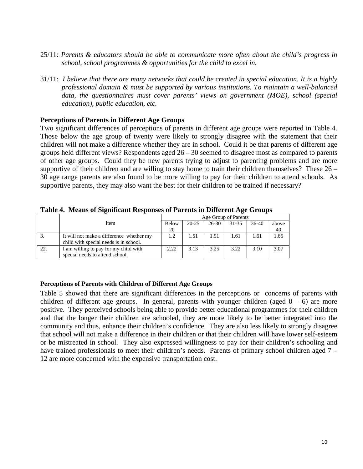- 25/11: *Parents & educators should be able to communicate more often about the child's progress in school, school programmes & opportunities for the child to excel in.*
- 31/11: *I believe that there are many networks that could be created in special education. It is a highly professional domain & must be supported by various institutions. To maintain a well-balanced data, the questionnaires must cover parents' views on government (MOE), school (special education), public education, etc.*

### **Perceptions of Parents in Different Age Groups**

Two significant differences of perceptions of parents in different age groups were reported in Table 4. Those below the age group of twenty were likely to strongly disagree with the statement that their children will not make a difference whether they are in school. Could it be that parents of different age groups held different views? Respondents aged 26 – 30 seemed to disagree most as compared to parents of other age groups. Could they be new parents trying to adjust to parenting problems and are more supportive of their children and are willing to stay home to train their children themselves? These 26 – 30 age range parents are also found to be more willing to pay for their children to attend schools. As supportive parents, they may also want the best for their children to be trained if necessary?

|     |                                          | Age Group of Parents |           |           |       |       |       |  |  |  |
|-----|------------------------------------------|----------------------|-----------|-----------|-------|-------|-------|--|--|--|
|     | Item                                     | Below                | $20 - 25$ | $26 - 30$ | 31-35 | 36-40 | above |  |  |  |
|     |                                          | 20                   |           |           |       |       | 40    |  |  |  |
| 3.  | It will not make a difference whether my | 1.2                  | 1.51      | 1.91      | 1.61  | 1.61  | 1.65  |  |  |  |
|     | child with special needs is in school.   |                      |           |           |       |       |       |  |  |  |
| 22. | I am willing to pay for my child with    | 2.22                 | 3.13      | 3.25      | 3.22  | 3.10  | 3.07  |  |  |  |
|     | special needs to attend school.          |                      |           |           |       |       |       |  |  |  |

**Table 4. Means of Significant Responses of Parents in Different Age Groups**

#### **Perceptions of Parents with Children of Different Age Groups**

Table 5 showed that there are significant differences in the perceptions or concerns of parents with children of different age groups. In general, parents with younger children (aged  $0 - 6$ ) are more positive. They perceived schools being able to provide better educational programmes for their children and that the longer their children are schooled, they are more likely to be better integrated into the community and thus, enhance their children's confidence. They are also less likely to strongly disagree that school will not make a difference in their children or that their children will have lower self-esteem or be mistreated in school. They also expressed willingness to pay for their children's schooling and have trained professionals to meet their children's needs. Parents of primary school children aged 7 – 12 are more concerned with the expensive transportation cost.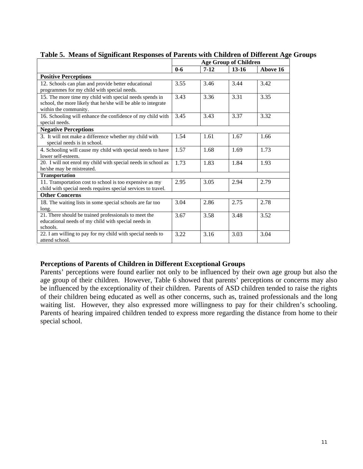|                                                                                                                                                   | <b>Age Group of Children</b> |        |           |          |  |  |
|---------------------------------------------------------------------------------------------------------------------------------------------------|------------------------------|--------|-----------|----------|--|--|
|                                                                                                                                                   | $0 - 6$                      | $7-12$ | $13 - 16$ | Above 16 |  |  |
| <b>Positive Perceptions</b>                                                                                                                       |                              |        |           |          |  |  |
| 12. Schools can plan and provide better educational<br>programmes for my child with special needs.                                                | 3.55                         | 3.46   | 3.44      | 3.42     |  |  |
| 15. The more time my child with special needs spends in<br>school, the more likely that he/she will be able to integrate<br>within the community. | 3.43                         | 3.36   | 3.31      | 3.35     |  |  |
| 16. Schooling will enhance the confidence of my child with<br>special needs.                                                                      | 3.45                         | 3.43   | 3.37      | 3.32     |  |  |
| <b>Negative Perceptions</b>                                                                                                                       |                              |        |           |          |  |  |
| 3. It will not make a difference whether my child with<br>special needs is in school.                                                             | 1.54                         | 1.61   | 1.67      | 1.66     |  |  |
| 4. Schooling will cause my child with special needs to have<br>lower self-esteem.                                                                 | 1.57                         | 1.68   | 1.69      | 1.73     |  |  |
| 20. I will not enrol my child with special needs in school as<br>he/she may be mistreated.                                                        | 1.73                         | 1.83   | 1.84      | 1.93     |  |  |
| <b>Transportation</b>                                                                                                                             |                              |        |           |          |  |  |
| 11. Transportation cost to school is too expensive as my<br>child with special needs requires special services to travel.                         | 2.95                         | 3.05   | 2.94      | 2.79     |  |  |
| <b>Other Concerns</b>                                                                                                                             |                              |        |           |          |  |  |
| 18. The waiting lists in some special schools are far too<br>long.                                                                                | 3.04                         | 2.86   | 2.75      | 2.78     |  |  |
| 21. There should be trained professionals to meet the<br>educational needs of my child with special needs in<br>schools.                          | 3.67                         | 3.58   | 3.48      | 3.52     |  |  |
| 22. I am willing to pay for my child with special needs to<br>attend school.                                                                      | 3.22                         | 3.16   | 3.03      | 3.04     |  |  |

**Table 5. Means of Significant Responses of Parents with Children of Different Age Groups** 

### **Perceptions of Parents of Children in Different Exceptional Groups**

Parents' perceptions were found earlier not only to be influenced by their own age group but also the age group of their children. However, Table 6 showed that parents' perceptions or concerns may also be influenced by the exceptionality of their children. Parents of ASD children tended to raise the rights of their children being educated as well as other concerns, such as, trained professionals and the long waiting list. However, they also expressed more willingness to pay for their children's schooling. Parents of hearing impaired children tended to express more regarding the distance from home to their special school.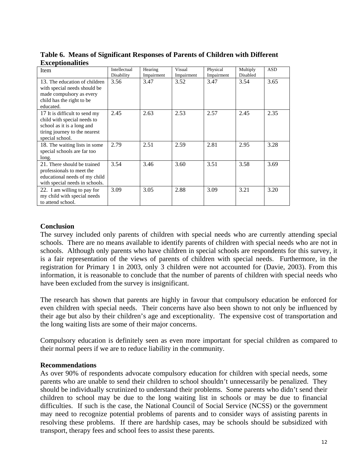| <b>Item</b>                                                                                                                                    | Intellectual<br>Disability | Hearing<br>Impairment | Visual<br>Impairment | Physical<br>Impairment | Multiply<br>Disabled | <b>ASD</b> |
|------------------------------------------------------------------------------------------------------------------------------------------------|----------------------------|-----------------------|----------------------|------------------------|----------------------|------------|
| 13. The education of children<br>with special needs should be<br>made compulsory as every<br>child has the right to be<br>educated.            | 3.56                       | 3.47                  | 3.52                 | 3.47                   | 3.54                 | 3.65       |
| 17 It is difficult to send my<br>child with special needs to<br>school as it is a long and<br>tiring journey to the nearest<br>special school. | 2.45                       | 2.63                  | 2.53                 | 2.57                   | 2.45                 | 2.35       |
| 18. The waiting lists in some<br>special schools are far too<br>long.                                                                          | 2.79                       | 2.51                  | 2.59                 | 2.81                   | 2.95                 | 3.28       |
| 21. There should be trained<br>professionals to meet the<br>educational needs of my child<br>with special needs in schools.                    | 3.54                       | 3.46                  | 3.60                 | 3.51                   | 3.58                 | 3.69       |
| 22. I am willing to pay for<br>my child with special needs<br>to attend school.                                                                | 3.09                       | 3.05                  | 2.88                 | 3.09                   | 3.21                 | 3.20       |

**Table 6. Means of Significant Responses of Parents of Children with Different Exceptionalities**

# **Conclusion**

The survey included only parents of children with special needs who are currently attending special schools. There are no means available to identify parents of children with special needs who are not in schools. Although only parents who have children in special schools are respondents for this survey, it is a fair representation of the views of parents of children with special needs. Furthermore, in the registration for Primary 1 in 2003, only 3 children were not accounted for (Davie, 2003). From this information, it is reasonable to conclude that the number of parents of children with special needs who have been excluded from the survey is insignificant.

The research has shown that parents are highly in favour that compulsory education be enforced for even children with special needs. Their concerns have also been shown to not only be influenced by their age but also by their children's age and exceptionality. The expensive cost of transportation and the long waiting lists are some of their major concerns.

Compulsory education is definitely seen as even more important for special children as compared to their normal peers if we are to reduce liability in the community.

### **Recommendations**

As over 90% of respondents advocate compulsory education for children with special needs, some parents who are unable to send their children to school shouldn't unnecessarily be penalized. They should be individually scrutinized to understand their problems. Some parents who didn't send their children to school may be due to the long waiting list in schools or may be due to financial difficulties. If such is the case, the National Council of Social Service (NCSS) or the government may need to recognize potential problems of parents and to consider ways of assisting parents in resolving these problems. If there are hardship cases, may be schools should be subsidized with transport, therapy fees and school fees to assist these parents.